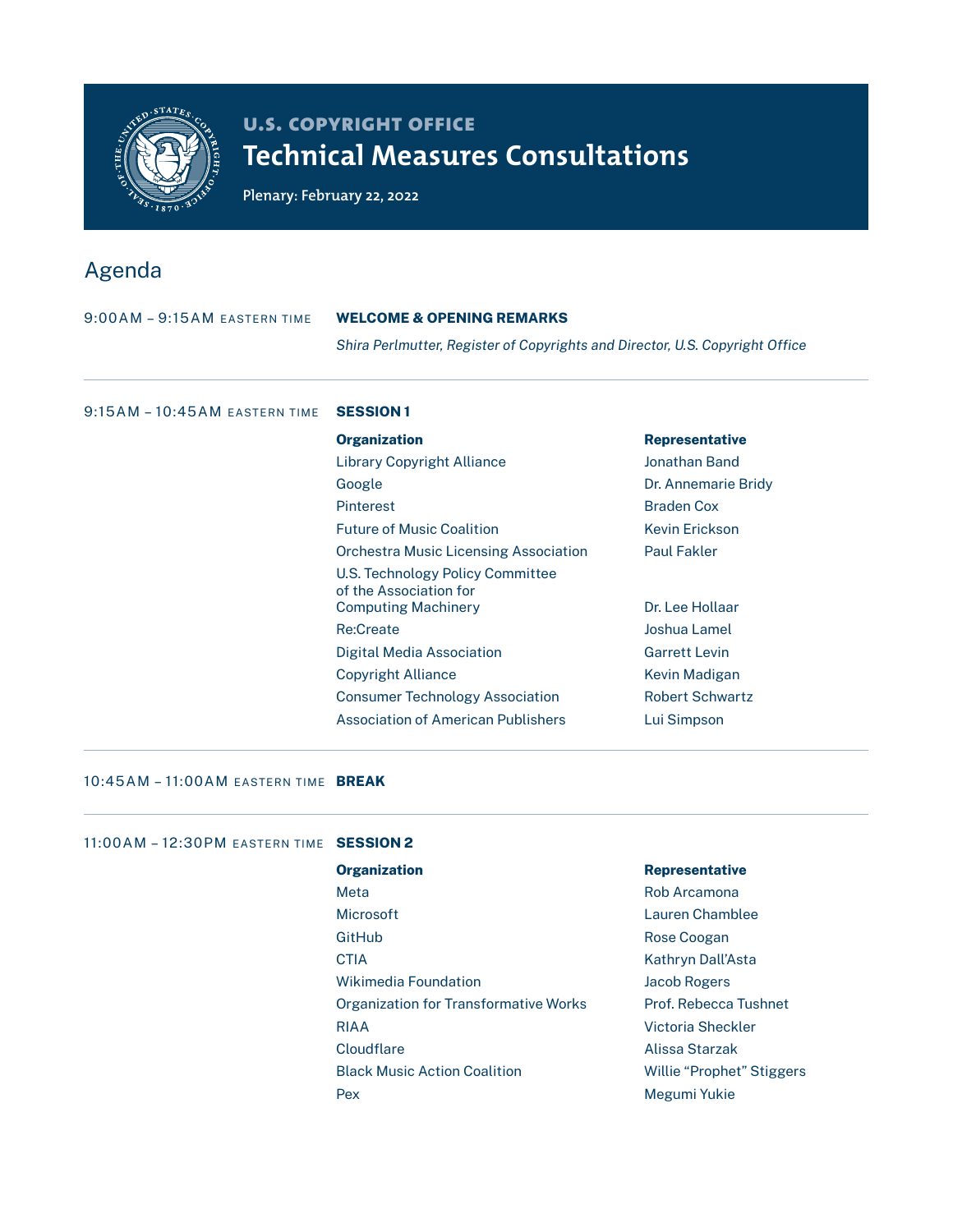

# **u.s. copyright office Technical Measures Consultations**

**Plenary: February 22, 2022**

## Agenda

| $9:00AM - 9:15AM$ eastern time  | <b>WELCOME &amp; OPENING REMARKS</b><br>Shira Perlmutter, Register of Copyrights and Director, U.S. Copyright Office |                       |
|---------------------------------|----------------------------------------------------------------------------------------------------------------------|-----------------------|
|                                 |                                                                                                                      |                       |
| $9:15AM - 10:45AM$ eastern time | <b>SESSION1</b>                                                                                                      |                       |
|                                 | <b>Organization</b>                                                                                                  | <b>Representative</b> |
|                                 | <b>Library Copyright Alliance</b>                                                                                    | Jonathan Band         |
|                                 | Google                                                                                                               | Dr. Annemarie Bridy   |
|                                 | <b>Pinterest</b>                                                                                                     | <b>Braden Cox</b>     |
|                                 | <b>Future of Music Coalition</b>                                                                                     | <b>Kevin Erickson</b> |
|                                 | <b>Orchestra Music Licensing Association</b>                                                                         | <b>Paul Fakler</b>    |
|                                 | U.S. Technology Policy Committee<br>of the Association for                                                           |                       |
|                                 | <b>Computing Machinery</b>                                                                                           | Dr. Lee Hollaar       |
|                                 | <b>Re:Create</b>                                                                                                     | Joshua Lamel          |
|                                 | Digital Media Association                                                                                            | <b>Garrett Levin</b>  |
|                                 | Copyright Alliance                                                                                                   | Kevin Madigan         |

Consumer Technology Association **Robert Schwartz** Association of American Publishers **Lui Simpson** 

### 10:45AM - 11:00AM EASTERN TIME BREAK

## 11:00AM – 12:30PM EASTERN TIME SESSION 2 Organization **Representative** Meta **Mata** Rob Arcamona Microsoft Lauren Chamblee GitHub **Rose Coogan** CTIA Kathryn Dall'Asta Wikimedia Foundation and Mikimedia Foundation Organization for Transformative Works Prof. Rebecca Tushnet RIAA Victoria Sheckler Cloudflare **Alissa Starzak** Black Music Action Coalition **Music Action Coalition** Willie "Prophet" Stiggers Pex Megumi Yukie